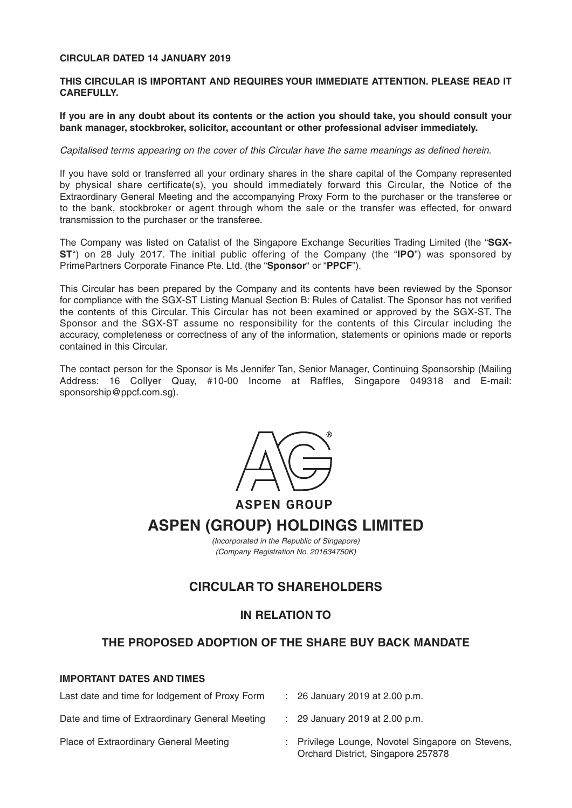## **CIRCULAR DATED 14 JANUARY 2019**

### **THIS CIRCULAR IS IMPORTANT AND REQUIRES YOUR IMMEDIATE ATTENTION. PLEASE READ IT CAREFULLY.**

**If you are in any doubt about its contents or the action you should take, you should consult your bank manager, stockbroker, solicitor, accountant or other professional adviser immediately.**

#### Capitalised terms appearing on the cover of this Circular have the same meanings as defined herein.

If you have sold or transferred all your ordinary shares in the share capital of the Company represented by physical share certificate(s), you should immediately forward this Circular, the Notice of the Extraordinary General Meeting and the accompanying Proxy Form to the purchaser or the transferee or to the bank, stockbroker or agent through whom the sale or the transfer was effected, for onward transmission to the purchaser or the transferee.

The Company was listed on Catalist of the Singapore Exchange Securities Trading Limited (the "**SGX-ST**") on 28 July 2017. The initial public offering of the Company (the "**IPO**") was sponsored by PrimePartners Corporate Finance Pte. Ltd. (the "**Sponsor**" or "**PPCF**").

This Circular has been prepared by the Company and its contents have been reviewed by the Sponsor for compliance with the SGX-ST Listing Manual Section B: Rules of Catalist. The Sponsor has not verified the contents of this Circular. This Circular has not been examined or approved by the SGX-ST. The Sponsor and the SGX-ST assume no responsibility for the contents of this Circular including the accuracy, completeness or correctness of any of the information, statements or opinions made or reports contained in this Circular.

The contact person for the Sponsor is Ms Jennifer Tan, Senior Manager, Continuing Sponsorship (Mailing Address: 16 Collyer Quay, #10-00 Income at Raffles, Singapore 049318 and E-mail: sponsorship@ppcf.com.sg).



**ASPEN (GROUP) HOLDINGS LIMITED**

(Incorporated in the Republic of Singapore) (Company Registration No. 201634750K)

## **CIRCULAR TO SHAREHOLDERS**

## **IN RELATION TO**

## **THE PROPOSED ADOPTION OF THE SHARE BUY BACK MANDATE**

## **IMPORTANT DATES AND TIMES**

| Last date and time for lodgement of Proxy Form | $\therefore$ 26 January 2019 at 2.00 p.m.                                               |
|------------------------------------------------|-----------------------------------------------------------------------------------------|
| Date and time of Extraordinary General Meeting | $\therefore$ 29 January 2019 at 2.00 p.m.                                               |
| Place of Extraordinary General Meeting         | : Privilege Lounge, Novotel Singapore on Stevens,<br>Orchard District, Singapore 257878 |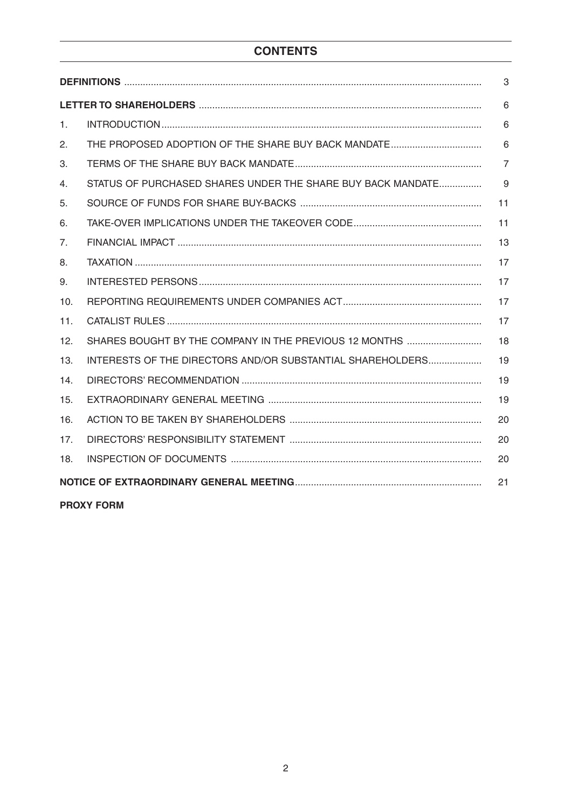# **CONTENTS**

|                |                                                             | 6              |  |  |
|----------------|-------------------------------------------------------------|----------------|--|--|
| 1 <sub>1</sub> |                                                             | 6              |  |  |
| 2.             |                                                             | 6              |  |  |
| 3.             |                                                             | $\overline{7}$ |  |  |
| 4.             | STATUS OF PURCHASED SHARES UNDER THE SHARE BUY BACK MANDATE | 9              |  |  |
| 5.             |                                                             | 11             |  |  |
| 6.             |                                                             | 11             |  |  |
| 7.             |                                                             | 13             |  |  |
| 8.             |                                                             | 17             |  |  |
| 9.             |                                                             | 17             |  |  |
| 10.            |                                                             | 17             |  |  |
| 11.            |                                                             | 17             |  |  |
| 12.            | SHARES BOUGHT BY THE COMPANY IN THE PREVIOUS 12 MONTHS      | 18             |  |  |
| 13.            | INTERESTS OF THE DIRECTORS AND/OR SUBSTANTIAL SHAREHOLDERS  | 19             |  |  |
| 14.            |                                                             | 19             |  |  |
| 15.            |                                                             | 19             |  |  |
| 16.            |                                                             | 20             |  |  |
| 17.            |                                                             | 20             |  |  |
| 18.            |                                                             | 20             |  |  |
| 21             |                                                             |                |  |  |
|                | <b>PROXY FORM</b>                                           |                |  |  |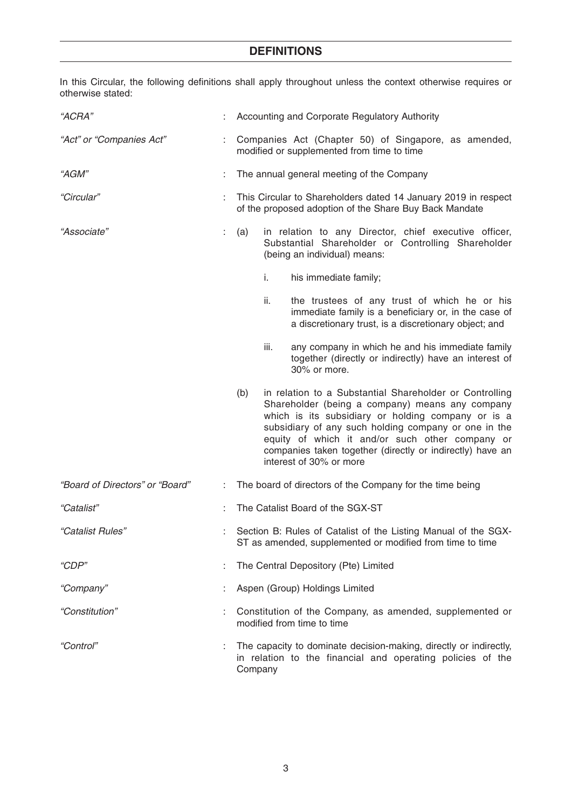# **DEFINITIONS**

In this Circular, the following definitions shall apply throughout unless the context otherwise requires or otherwise stated:

| "ACRA"                          |    | : Accounting and Corporate Regulatory Authority                                                                                                                                                                                                                                                                                                                            |  |  |
|---------------------------------|----|----------------------------------------------------------------------------------------------------------------------------------------------------------------------------------------------------------------------------------------------------------------------------------------------------------------------------------------------------------------------------|--|--|
| "Act" or "Companies Act"        |    | : Companies Act (Chapter 50) of Singapore, as amended,<br>modified or supplemented from time to time                                                                                                                                                                                                                                                                       |  |  |
| "AGM"                           |    | The annual general meeting of the Company                                                                                                                                                                                                                                                                                                                                  |  |  |
| "Circular"                      |    | This Circular to Shareholders dated 14 January 2019 in respect<br>of the proposed adoption of the Share Buy Back Mandate                                                                                                                                                                                                                                                   |  |  |
| "Associate"                     | ÷. | in relation to any Director, chief executive officer,<br>(a)<br>Substantial Shareholder or Controlling Shareholder<br>(being an individual) means:                                                                                                                                                                                                                         |  |  |
|                                 |    | i.<br>his immediate family;                                                                                                                                                                                                                                                                                                                                                |  |  |
|                                 |    | the trustees of any trust of which he or his<br>ii.<br>immediate family is a beneficiary or, in the case of<br>a discretionary trust, is a discretionary object; and                                                                                                                                                                                                       |  |  |
|                                 |    | any company in which he and his immediate family<br>iii.<br>together (directly or indirectly) have an interest of<br>30% or more.                                                                                                                                                                                                                                          |  |  |
|                                 |    | in relation to a Substantial Shareholder or Controlling<br>(b)<br>Shareholder (being a company) means any company<br>which is its subsidiary or holding company or is a<br>subsidiary of any such holding company or one in the<br>equity of which it and/or such other company or<br>companies taken together (directly or indirectly) have an<br>interest of 30% or more |  |  |
| "Board of Directors" or "Board" |    | : The board of directors of the Company for the time being                                                                                                                                                                                                                                                                                                                 |  |  |
| "Catalist"                      |    | The Catalist Board of the SGX-ST                                                                                                                                                                                                                                                                                                                                           |  |  |
| "Catalist Rules"                |    | Section B: Rules of Catalist of the Listing Manual of the SGX-<br>ST as amended, supplemented or modified from time to time                                                                                                                                                                                                                                                |  |  |
| "CDP"                           |    | The Central Depository (Pte) Limited                                                                                                                                                                                                                                                                                                                                       |  |  |
| "Company"                       |    | Aspen (Group) Holdings Limited                                                                                                                                                                                                                                                                                                                                             |  |  |
| "Constitution"                  |    | Constitution of the Company, as amended, supplemented or<br>modified from time to time                                                                                                                                                                                                                                                                                     |  |  |
| "Control"                       |    | The capacity to dominate decision-making, directly or indirectly,<br>in relation to the financial and operating policies of the<br>Company                                                                                                                                                                                                                                 |  |  |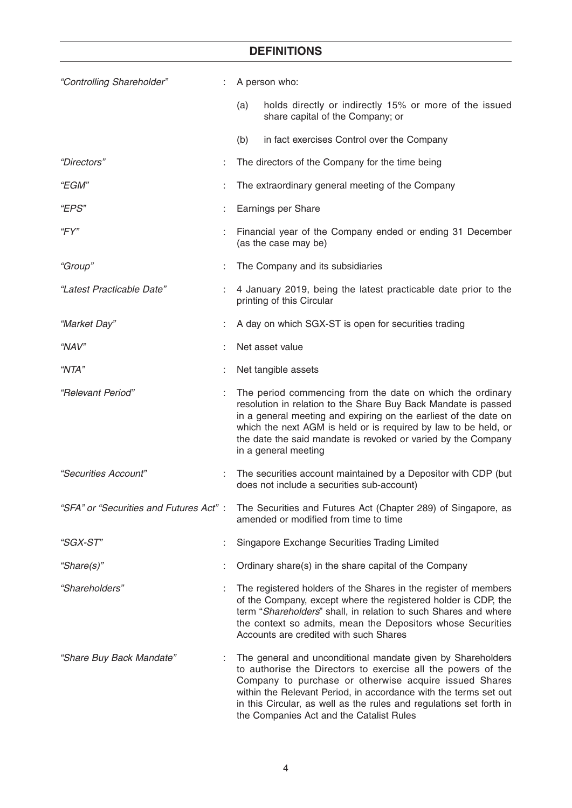# **DEFINITIONS**

| "Controlling Shareholder"               | A person who:                                                                                                                                                                                                                                                                                                                                                                |
|-----------------------------------------|------------------------------------------------------------------------------------------------------------------------------------------------------------------------------------------------------------------------------------------------------------------------------------------------------------------------------------------------------------------------------|
|                                         | holds directly or indirectly 15% or more of the issued<br>(a)<br>share capital of the Company; or                                                                                                                                                                                                                                                                            |
|                                         | (b)<br>in fact exercises Control over the Company                                                                                                                                                                                                                                                                                                                            |
| "Directors"                             | The directors of the Company for the time being                                                                                                                                                                                                                                                                                                                              |
| "EGM"                                   | The extraordinary general meeting of the Company                                                                                                                                                                                                                                                                                                                             |
| "EPS"                                   | Earnings per Share                                                                                                                                                                                                                                                                                                                                                           |
| "FY"                                    | Financial year of the Company ended or ending 31 December<br>(as the case may be)                                                                                                                                                                                                                                                                                            |
| "Group"                                 | The Company and its subsidiaries                                                                                                                                                                                                                                                                                                                                             |
| "Latest Practicable Date"               | 4 January 2019, being the latest practicable date prior to the<br>printing of this Circular                                                                                                                                                                                                                                                                                  |
| "Market Day"                            | A day on which SGX-ST is open for securities trading                                                                                                                                                                                                                                                                                                                         |
| "NAV"                                   | Net asset value                                                                                                                                                                                                                                                                                                                                                              |
| "NTA"                                   | Net tangible assets                                                                                                                                                                                                                                                                                                                                                          |
| "Relevant Period"                       | The period commencing from the date on which the ordinary<br>resolution in relation to the Share Buy Back Mandate is passed<br>in a general meeting and expiring on the earliest of the date on<br>which the next AGM is held or is required by law to be held, or<br>the date the said mandate is revoked or varied by the Company<br>in a general meeting                  |
| "Securities Account"                    | The securities account maintained by a Depositor with CDP (but<br>does not include a securities sub-account)                                                                                                                                                                                                                                                                 |
| "SFA" or "Securities and Futures Act" : | The Securities and Futures Act (Chapter 289) of Singapore, as<br>amended or modified from time to time                                                                                                                                                                                                                                                                       |
| "SGX-ST"                                | Singapore Exchange Securities Trading Limited                                                                                                                                                                                                                                                                                                                                |
| "Share(s)"                              | Ordinary share(s) in the share capital of the Company                                                                                                                                                                                                                                                                                                                        |
| "Shareholders"                          | The registered holders of the Shares in the register of members<br>of the Company, except where the registered holder is CDP, the<br>term "Shareholders" shall, in relation to such Shares and where<br>the context so admits, mean the Depositors whose Securities<br>Accounts are credited with such Shares                                                                |
| "Share Buy Back Mandate"                | The general and unconditional mandate given by Shareholders<br>to authorise the Directors to exercise all the powers of the<br>Company to purchase or otherwise acquire issued Shares<br>within the Relevant Period, in accordance with the terms set out<br>in this Circular, as well as the rules and regulations set forth in<br>the Companies Act and the Catalist Rules |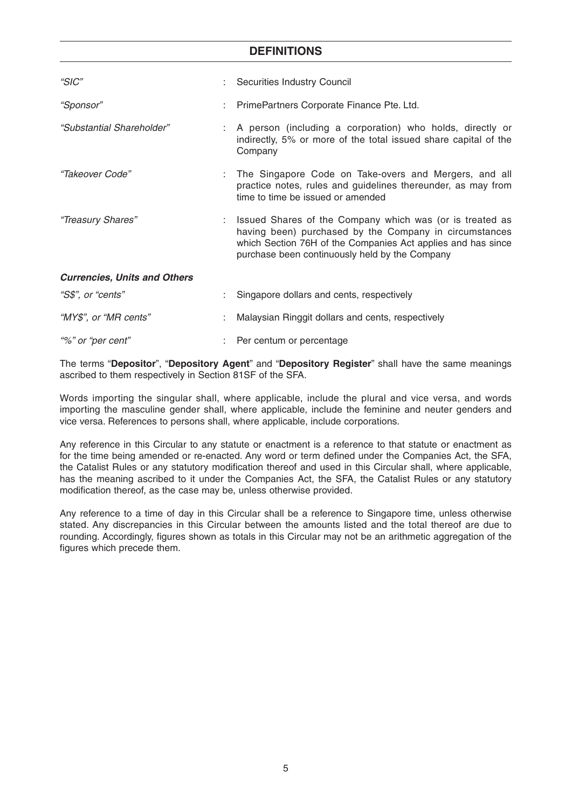## **DEFINITIONS**

| "SIC"                               | : Securities Industry Council                                                                                                                                                                                                          |
|-------------------------------------|----------------------------------------------------------------------------------------------------------------------------------------------------------------------------------------------------------------------------------------|
| "Sponsor"                           | : PrimePartners Corporate Finance Pte. Ltd.                                                                                                                                                                                            |
| "Substantial Shareholder"           | : A person (including a corporation) who holds, directly or<br>indirectly, 5% or more of the total issued share capital of the<br>Company                                                                                              |
| "Takeover Code"                     | : The Singapore Code on Take-overs and Mergers, and all<br>practice notes, rules and guidelines thereunder, as may from<br>time to time be issued or amended                                                                           |
| "Treasury Shares"                   | : Issued Shares of the Company which was (or is treated as<br>having been) purchased by the Company in circumstances<br>which Section 76H of the Companies Act applies and has since<br>purchase been continuously held by the Company |
| <b>Currencies, Units and Others</b> |                                                                                                                                                                                                                                        |
| "S\$", or "cents"                   | Singapore dollars and cents, respectively                                                                                                                                                                                              |
| "MY\$", or "MR cents"               | Malaysian Ringgit dollars and cents, respectively                                                                                                                                                                                      |
| "%" or "per cent"                   | Per centum or percentage                                                                                                                                                                                                               |

The terms "**Depositor**", "**Depository Agent**" and "**Depository Register**" shall have the same meanings ascribed to them respectively in Section 81SF of the SFA.

Words importing the singular shall, where applicable, include the plural and vice versa, and words importing the masculine gender shall, where applicable, include the feminine and neuter genders and vice versa. References to persons shall, where applicable, include corporations.

Any reference in this Circular to any statute or enactment is a reference to that statute or enactment as for the time being amended or re-enacted. Any word or term defined under the Companies Act, the SFA, the Catalist Rules or any statutory modification thereof and used in this Circular shall, where applicable, has the meaning ascribed to it under the Companies Act, the SFA, the Catalist Rules or any statutory modification thereof, as the case may be, unless otherwise provided.

Any reference to a time of day in this Circular shall be a reference to Singapore time, unless otherwise stated. Any discrepancies in this Circular between the amounts listed and the total thereof are due to rounding. Accordingly, figures shown as totals in this Circular may not be an arithmetic aggregation of the figures which precede them.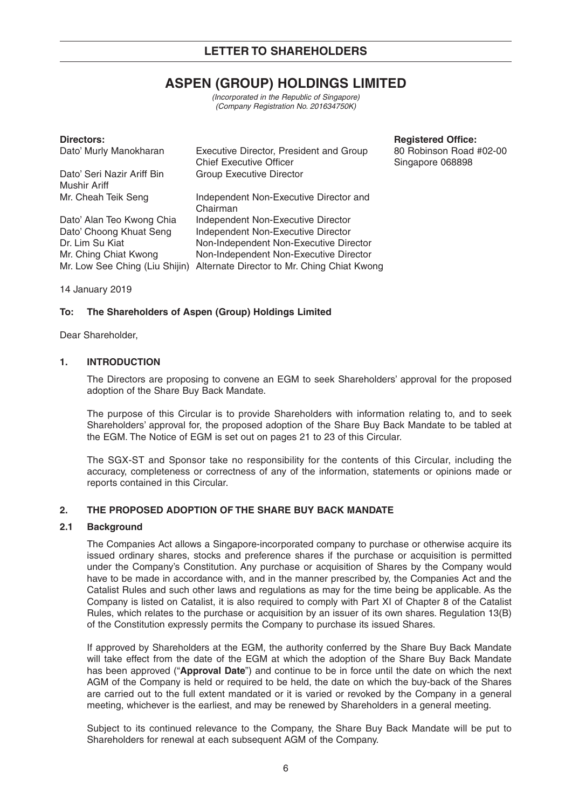# **ASPEN (GROUP) HOLDINGS LIMITED**

(Incorporated in the Republic of Singapore) (Company Registration No. 201634750K)

| Directors:                     |                                             |
|--------------------------------|---------------------------------------------|
| Dato' Murly Manokharan         | Executive Director, President and Group     |
|                                | <b>Chief Executive Officer</b>              |
| Dato' Seri Nazir Ariff Bin     | <b>Group Executive Director</b>             |
| Mushir Ariff                   |                                             |
| Mr. Cheah Teik Seng            | Independent Non-Executive Director and      |
|                                | Chairman                                    |
| Dato' Alan Teo Kwong Chia      | Independent Non-Executive Director          |
| Dato' Choong Khuat Seng        | Independent Non-Executive Director          |
| Dr. Lim Su Kiat                | Non-Independent Non-Executive Director      |
| Mr. Ching Chiat Kwong          | Non-Independent Non-Executive Director      |
| Mr. Low See Ching (Liu Shijin) | Alternate Director to Mr. Ching Chiat Kwong |

**Registered Office:** 

80 Robinson Road #02-00 Singapore 068898

14 January 2019

## **To: The Shareholders of Aspen (Group) Holdings Limited**

Dear Shareholder,

### **1. INTRODUCTION**

The Directors are proposing to convene an EGM to seek Shareholders' approval for the proposed adoption of the Share Buy Back Mandate.

The purpose of this Circular is to provide Shareholders with information relating to, and to seek Shareholders' approval for, the proposed adoption of the Share Buy Back Mandate to be tabled at the EGM. The Notice of EGM is set out on pages 21 to 23 of this Circular.

The SGX-ST and Sponsor take no responsibility for the contents of this Circular, including the accuracy, completeness or correctness of any of the information, statements or opinions made or reports contained in this Circular.

## **2. THE PROPOSED ADOPTION OF THE SHARE BUY BACK MANDATE**

#### **2.1 Background**

The Companies Act allows a Singapore-incorporated company to purchase or otherwise acquire its issued ordinary shares, stocks and preference shares if the purchase or acquisition is permitted under the Company's Constitution. Any purchase or acquisition of Shares by the Company would have to be made in accordance with, and in the manner prescribed by, the Companies Act and the Catalist Rules and such other laws and regulations as may for the time being be applicable. As the Company is listed on Catalist, it is also required to comply with Part XI of Chapter 8 of the Catalist Rules, which relates to the purchase or acquisition by an issuer of its own shares. Regulation 13(B) of the Constitution expressly permits the Company to purchase its issued Shares.

If approved by Shareholders at the EGM, the authority conferred by the Share Buy Back Mandate will take effect from the date of the EGM at which the adoption of the Share Buy Back Mandate has been approved ("**Approval Date**") and continue to be in force until the date on which the next AGM of the Company is held or required to be held, the date on which the buy-back of the Shares are carried out to the full extent mandated or it is varied or revoked by the Company in a general meeting, whichever is the earliest, and may be renewed by Shareholders in a general meeting.

Subject to its continued relevance to the Company, the Share Buy Back Mandate will be put to Shareholders for renewal at each subsequent AGM of the Company.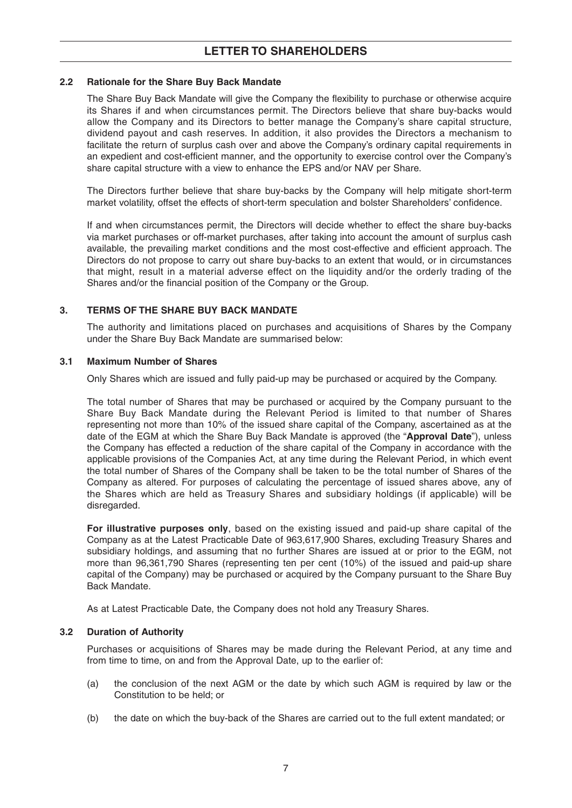## **2.2 Rationale for the Share Buy Back Mandate**

The Share Buy Back Mandate will give the Company the flexibility to purchase or otherwise acquire its Shares if and when circumstances permit. The Directors believe that share buy-backs would allow the Company and its Directors to better manage the Company's share capital structure, dividend payout and cash reserves. In addition, it also provides the Directors a mechanism to facilitate the return of surplus cash over and above the Company's ordinary capital requirements in an expedient and cost-efficient manner, and the opportunity to exercise control over the Company's share capital structure with a view to enhance the EPS and/or NAV per Share.

The Directors further believe that share buy-backs by the Company will help mitigate short-term market volatility, offset the effects of short-term speculation and bolster Shareholders' confidence.

If and when circumstances permit, the Directors will decide whether to effect the share buy-backs via market purchases or off-market purchases, after taking into account the amount of surplus cash available, the prevailing market conditions and the most cost-effective and efficient approach. The Directors do not propose to carry out share buy-backs to an extent that would, or in circumstances that might, result in a material adverse effect on the liquidity and/or the orderly trading of the Shares and/or the financial position of the Company or the Group.

## **3. TERMS OF THE SHARE BUY BACK MANDATE**

The authority and limitations placed on purchases and acquisitions of Shares by the Company under the Share Buy Back Mandate are summarised below:

### **3.1 Maximum Number of Shares**

Only Shares which are issued and fully paid-up may be purchased or acquired by the Company.

The total number of Shares that may be purchased or acquired by the Company pursuant to the Share Buy Back Mandate during the Relevant Period is limited to that number of Shares representing not more than 10% of the issued share capital of the Company, ascertained as at the date of the EGM at which the Share Buy Back Mandate is approved (the "**Approval Date**"), unless the Company has effected a reduction of the share capital of the Company in accordance with the applicable provisions of the Companies Act, at any time during the Relevant Period, in which event the total number of Shares of the Company shall be taken to be the total number of Shares of the Company as altered. For purposes of calculating the percentage of issued shares above, any of the Shares which are held as Treasury Shares and subsidiary holdings (if applicable) will be disregarded.

**For illustrative purposes only**, based on the existing issued and paid-up share capital of the Company as at the Latest Practicable Date of 963,617,900 Shares, excluding Treasury Shares and subsidiary holdings, and assuming that no further Shares are issued at or prior to the EGM, not more than 96,361,790 Shares (representing ten per cent (10%) of the issued and paid-up share capital of the Company) may be purchased or acquired by the Company pursuant to the Share Buy Back Mandate.

As at Latest Practicable Date, the Company does not hold any Treasury Shares.

## **3.2 Duration of Authority**

Purchases or acquisitions of Shares may be made during the Relevant Period, at any time and from time to time, on and from the Approval Date, up to the earlier of:

- (a) the conclusion of the next AGM or the date by which such AGM is required by law or the Constitution to be held; or
- (b) the date on which the buy-back of the Shares are carried out to the full extent mandated; or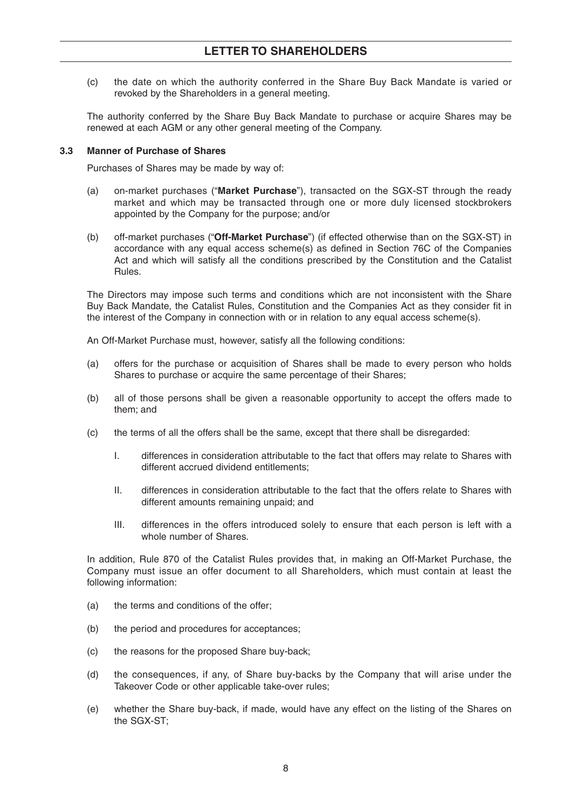(c) the date on which the authority conferred in the Share Buy Back Mandate is varied or revoked by the Shareholders in a general meeting.

The authority conferred by the Share Buy Back Mandate to purchase or acquire Shares may be renewed at each AGM or any other general meeting of the Company.

#### **3.3 Manner of Purchase of Shares**

Purchases of Shares may be made by way of:

- (a) on-market purchases ("**Market Purchase**"), transacted on the SGX-ST through the ready market and which may be transacted through one or more duly licensed stockbrokers appointed by the Company for the purpose; and/or
- (b) off-market purchases ("**Off-Market Purchase**") (if effected otherwise than on the SGX-ST) in accordance with any equal access scheme(s) as defined in Section 76C of the Companies Act and which will satisfy all the conditions prescribed by the Constitution and the Catalist Rules.

The Directors may impose such terms and conditions which are not inconsistent with the Share Buy Back Mandate, the Catalist Rules, Constitution and the Companies Act as they consider fit in the interest of the Company in connection with or in relation to any equal access scheme(s).

An Off-Market Purchase must, however, satisfy all the following conditions:

- (a) offers for the purchase or acquisition of Shares shall be made to every person who holds Shares to purchase or acquire the same percentage of their Shares;
- (b) all of those persons shall be given a reasonable opportunity to accept the offers made to them; and
- (c) the terms of all the offers shall be the same, except that there shall be disregarded:
	- I. differences in consideration attributable to the fact that offers may relate to Shares with different accrued dividend entitlements;
	- II. differences in consideration attributable to the fact that the offers relate to Shares with different amounts remaining unpaid; and
	- III. differences in the offers introduced solely to ensure that each person is left with a whole number of Shares.

In addition, Rule 870 of the Catalist Rules provides that, in making an Off-Market Purchase, the Company must issue an offer document to all Shareholders, which must contain at least the following information:

- (a) the terms and conditions of the offer;
- (b) the period and procedures for acceptances;
- (c) the reasons for the proposed Share buy-back;
- (d) the consequences, if any, of Share buy-backs by the Company that will arise under the Takeover Code or other applicable take-over rules;
- (e) whether the Share buy-back, if made, would have any effect on the listing of the Shares on the SGX-ST;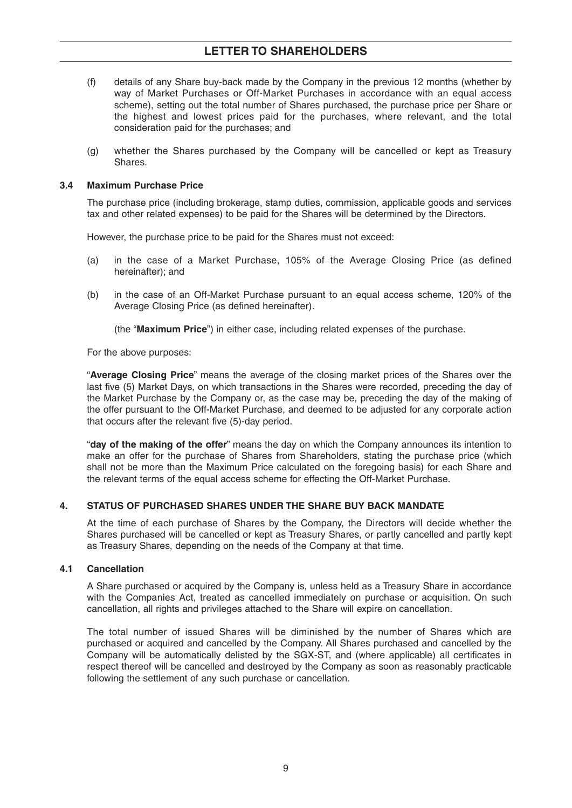## **LETTER TO SHAREHOLDERS**

- (f) details of any Share buy-back made by the Company in the previous 12 months (whether by way of Market Purchases or Off-Market Purchases in accordance with an equal access scheme), setting out the total number of Shares purchased, the purchase price per Share or the highest and lowest prices paid for the purchases, where relevant, and the total consideration paid for the purchases; and
- (g) whether the Shares purchased by the Company will be cancelled or kept as Treasury Shares.

### **3.4 Maximum Purchase Price**

The purchase price (including brokerage, stamp duties, commission, applicable goods and services tax and other related expenses) to be paid for the Shares will be determined by the Directors.

However, the purchase price to be paid for the Shares must not exceed:

- (a) in the case of a Market Purchase, 105% of the Average Closing Price (as defined hereinafter); and
- (b) in the case of an Off-Market Purchase pursuant to an equal access scheme, 120% of the Average Closing Price (as defined hereinafter).

(the "**Maximum Price**") in either case, including related expenses of the purchase.

For the above purposes:

"**Average Closing Price**" means the average of the closing market prices of the Shares over the last five (5) Market Days, on which transactions in the Shares were recorded, preceding the day of the Market Purchase by the Company or, as the case may be, preceding the day of the making of the offer pursuant to the Off-Market Purchase, and deemed to be adjusted for any corporate action that occurs after the relevant five (5)-day period.

"**day of the making of the offer**" means the day on which the Company announces its intention to make an offer for the purchase of Shares from Shareholders, stating the purchase price (which shall not be more than the Maximum Price calculated on the foregoing basis) for each Share and the relevant terms of the equal access scheme for effecting the Off-Market Purchase.

## **4. STATUS OF PURCHASED SHARES UNDER THE SHARE BUY BACK MANDATE**

At the time of each purchase of Shares by the Company, the Directors will decide whether the Shares purchased will be cancelled or kept as Treasury Shares, or partly cancelled and partly kept as Treasury Shares, depending on the needs of the Company at that time.

## **4.1 Cancellation**

A Share purchased or acquired by the Company is, unless held as a Treasury Share in accordance with the Companies Act, treated as cancelled immediately on purchase or acquisition. On such cancellation, all rights and privileges attached to the Share will expire on cancellation.

The total number of issued Shares will be diminished by the number of Shares which are purchased or acquired and cancelled by the Company. All Shares purchased and cancelled by the Company will be automatically delisted by the SGX-ST, and (where applicable) all certificates in respect thereof will be cancelled and destroyed by the Company as soon as reasonably practicable following the settlement of any such purchase or cancellation.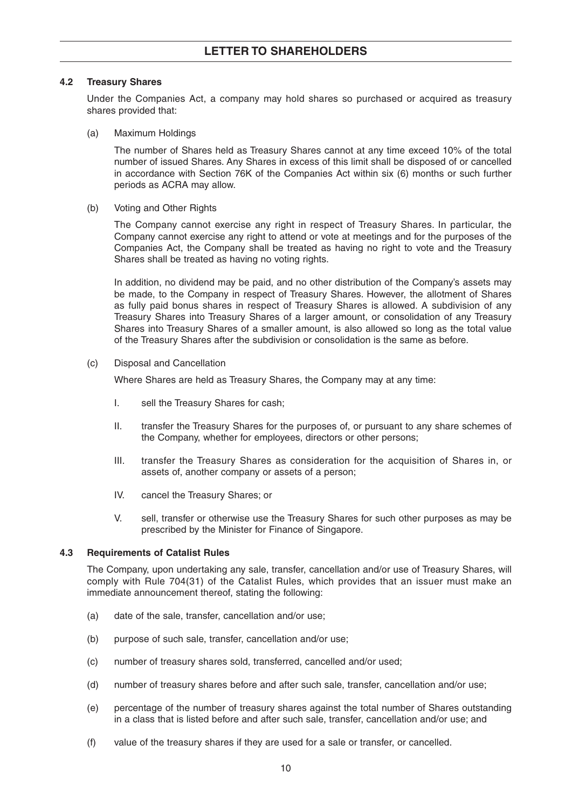## **4.2 Treasury Shares**

Under the Companies Act, a company may hold shares so purchased or acquired as treasury shares provided that:

(a) Maximum Holdings

The number of Shares held as Treasury Shares cannot at any time exceed 10% of the total number of issued Shares. Any Shares in excess of this limit shall be disposed of or cancelled in accordance with Section 76K of the Companies Act within six (6) months or such further periods as ACRA may allow.

(b) Voting and Other Rights

The Company cannot exercise any right in respect of Treasury Shares. In particular, the Company cannot exercise any right to attend or vote at meetings and for the purposes of the Companies Act, the Company shall be treated as having no right to vote and the Treasury Shares shall be treated as having no voting rights.

In addition, no dividend may be paid, and no other distribution of the Company's assets may be made, to the Company in respect of Treasury Shares. However, the allotment of Shares as fully paid bonus shares in respect of Treasury Shares is allowed. A subdivision of any Treasury Shares into Treasury Shares of a larger amount, or consolidation of any Treasury Shares into Treasury Shares of a smaller amount, is also allowed so long as the total value of the Treasury Shares after the subdivision or consolidation is the same as before.

### (c) Disposal and Cancellation

Where Shares are held as Treasury Shares, the Company may at any time:

- I. sell the Treasury Shares for cash;
- II. transfer the Treasury Shares for the purposes of, or pursuant to any share schemes of the Company, whether for employees, directors or other persons;
- III. transfer the Treasury Shares as consideration for the acquisition of Shares in, or assets of, another company or assets of a person;
- IV. cancel the Treasury Shares; or
- V. sell, transfer or otherwise use the Treasury Shares for such other purposes as may be prescribed by the Minister for Finance of Singapore.

## **4.3 Requirements of Catalist Rules**

The Company, upon undertaking any sale, transfer, cancellation and/or use of Treasury Shares, will comply with Rule 704(31) of the Catalist Rules, which provides that an issuer must make an immediate announcement thereof, stating the following:

- (a) date of the sale, transfer, cancellation and/or use;
- (b) purpose of such sale, transfer, cancellation and/or use;
- (c) number of treasury shares sold, transferred, cancelled and/or used;
- (d) number of treasury shares before and after such sale, transfer, cancellation and/or use;
- (e) percentage of the number of treasury shares against the total number of Shares outstanding in a class that is listed before and after such sale, transfer, cancellation and/or use; and
- (f) value of the treasury shares if they are used for a sale or transfer, or cancelled.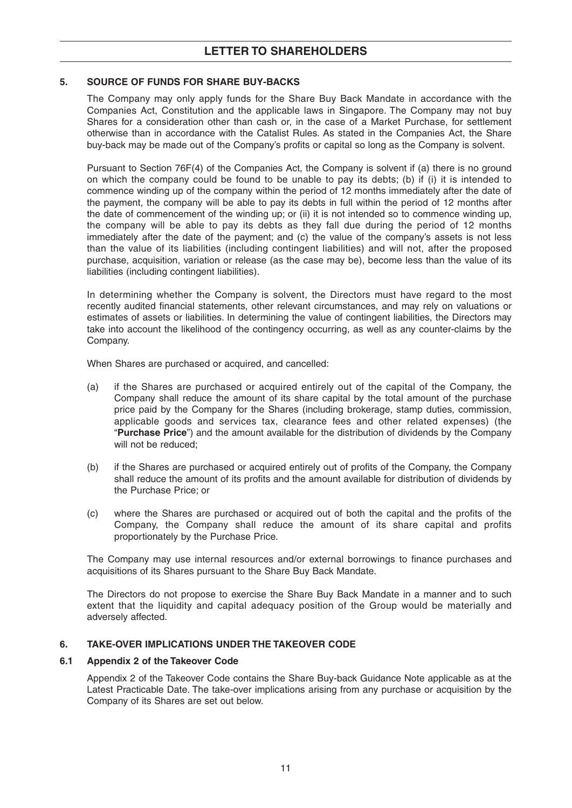## **5. SOURCE OF FUNDS FOR SHARE BUY-BACKS**

The Company may only apply funds for the Share Buy Back Mandate in accordance with the Companies Act, Constitution and the applicable laws in Singapore. The Company may not buy Shares for a consideration other than cash or, in the case of a Market Purchase, for settlement otherwise than in accordance with the Catalist Rules. As stated in the Companies Act, the Share buy-back may be made out of the Company's profits or capital so long as the Company is solvent.

Pursuant to Section 76F(4) of the Companies Act, the Company is solvent if (a) there is no ground on which the company could be found to be unable to pay its debts; (b) if (i) it is intended to commence winding up of the company within the period of 12 months immediately after the date of the payment, the company will be able to pay its debts in full within the period of 12 months after the date of commencement of the winding up; or (ii) it is not intended so to commence winding up, the company will be able to pay its debts as they fall due during the period of 12 months immediately after the date of the payment; and (c) the value of the company's assets is not less than the value of its liabilities (including contingent liabilities) and will not, after the proposed purchase, acquisition, variation or release (as the case may be), become less than the value of its liabilities (including contingent liabilities).

In determining whether the Company is solvent, the Directors must have regard to the most recently audited financial statements, other relevant circumstances, and may rely on valuations or estimates of assets or liabilities. In determining the value of contingent liabilities, the Directors may take into account the likelihood of the contingency occurring, as well as any counter-claims by the Company.

When Shares are purchased or acquired, and cancelled:

- (a) if the Shares are purchased or acquired entirely out of the capital of the Company, the Company shall reduce the amount of its share capital by the total amount of the purchase price paid by the Company for the Shares (including brokerage, stamp duties, commission, applicable goods and services tax, clearance fees and other related expenses) (the "**Purchase Price**") and the amount available for the distribution of dividends by the Company will not be reduced;
- (b) if the Shares are purchased or acquired entirely out of profits of the Company, the Company shall reduce the amount of its profits and the amount available for distribution of dividends by the Purchase Price; or
- (c) where the Shares are purchased or acquired out of both the capital and the profits of the Company, the Company shall reduce the amount of its share capital and profits proportionately by the Purchase Price.

The Company may use internal resources and/or external borrowings to finance purchases and acquisitions of its Shares pursuant to the Share Buy Back Mandate.

The Directors do not propose to exercise the Share Buy Back Mandate in a manner and to such extent that the liquidity and capital adequacy position of the Group would be materially and adversely affected.

## **6. TAKE-OVER IMPLICATIONS UNDER THE TAKEOVER CODE**

#### **6.1 Appendix 2 of the Takeover Code**

Appendix 2 of the Takeover Code contains the Share Buy-back Guidance Note applicable as at the Latest Practicable Date. The take-over implications arising from any purchase or acquisition by the Company of its Shares are set out below.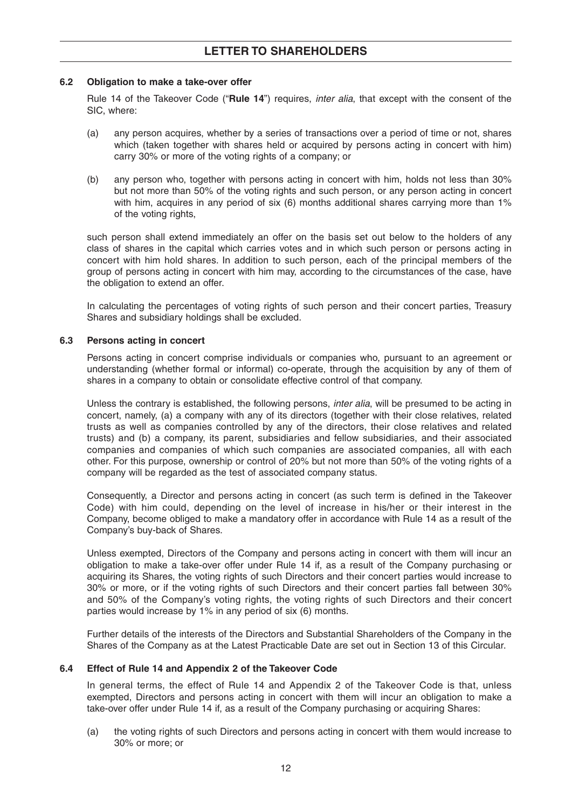### **6.2 Obligation to make a take-over offer**

Rule 14 of the Takeover Code ("**Rule 14**") requires, inter alia, that except with the consent of the SIC, where:

- (a) any person acquires, whether by a series of transactions over a period of time or not, shares which (taken together with shares held or acquired by persons acting in concert with him) carry 30% or more of the voting rights of a company; or
- (b) any person who, together with persons acting in concert with him, holds not less than 30% but not more than 50% of the voting rights and such person, or any person acting in concert with him, acquires in any period of six (6) months additional shares carrying more than 1% of the voting rights,

such person shall extend immediately an offer on the basis set out below to the holders of any class of shares in the capital which carries votes and in which such person or persons acting in concert with him hold shares. In addition to such person, each of the principal members of the group of persons acting in concert with him may, according to the circumstances of the case, have the obligation to extend an offer.

In calculating the percentages of voting rights of such person and their concert parties, Treasury Shares and subsidiary holdings shall be excluded.

### **6.3 Persons acting in concert**

Persons acting in concert comprise individuals or companies who, pursuant to an agreement or understanding (whether formal or informal) co-operate, through the acquisition by any of them of shares in a company to obtain or consolidate effective control of that company.

Unless the contrary is established, the following persons, *inter alia*, will be presumed to be acting in concert, namely, (a) a company with any of its directors (together with their close relatives, related trusts as well as companies controlled by any of the directors, their close relatives and related trusts) and (b) a company, its parent, subsidiaries and fellow subsidiaries, and their associated companies and companies of which such companies are associated companies, all with each other. For this purpose, ownership or control of 20% but not more than 50% of the voting rights of a company will be regarded as the test of associated company status.

Consequently, a Director and persons acting in concert (as such term is defined in the Takeover Code) with him could, depending on the level of increase in his/her or their interest in the Company, become obliged to make a mandatory offer in accordance with Rule 14 as a result of the Company's buy-back of Shares.

Unless exempted, Directors of the Company and persons acting in concert with them will incur an obligation to make a take-over offer under Rule 14 if, as a result of the Company purchasing or acquiring its Shares, the voting rights of such Directors and their concert parties would increase to 30% or more, or if the voting rights of such Directors and their concert parties fall between 30% and 50% of the Company's voting rights, the voting rights of such Directors and their concert parties would increase by 1% in any period of six (6) months.

Further details of the interests of the Directors and Substantial Shareholders of the Company in the Shares of the Company as at the Latest Practicable Date are set out in Section 13 of this Circular.

## **6.4 Effect of Rule 14 and Appendix 2 of the Takeover Code**

In general terms, the effect of Rule 14 and Appendix 2 of the Takeover Code is that, unless exempted, Directors and persons acting in concert with them will incur an obligation to make a take-over offer under Rule 14 if, as a result of the Company purchasing or acquiring Shares:

(a) the voting rights of such Directors and persons acting in concert with them would increase to 30% or more; or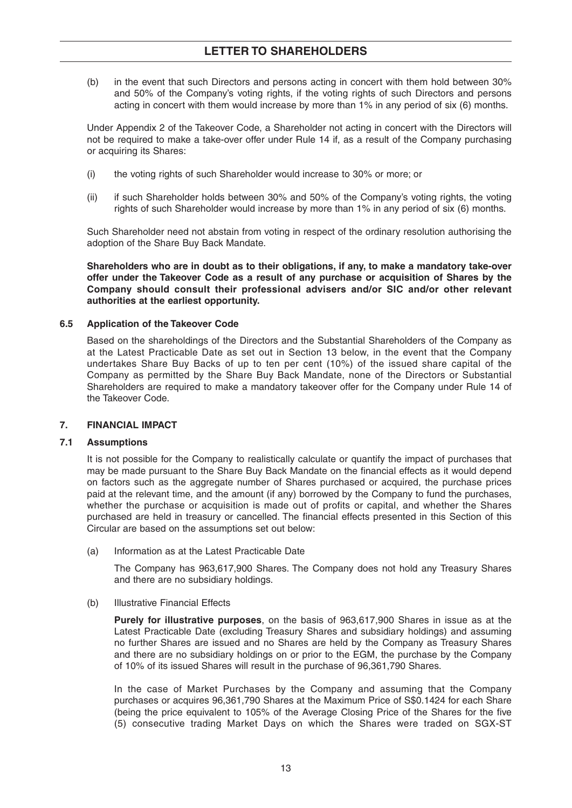## **LETTER TO SHAREHOLDERS**

(b) in the event that such Directors and persons acting in concert with them hold between 30% and 50% of the Company's voting rights, if the voting rights of such Directors and persons acting in concert with them would increase by more than 1% in any period of six (6) months.

Under Appendix 2 of the Takeover Code, a Shareholder not acting in concert with the Directors will not be required to make a take-over offer under Rule 14 if, as a result of the Company purchasing or acquiring its Shares:

- (i) the voting rights of such Shareholder would increase to 30% or more; or
- (ii) if such Shareholder holds between 30% and 50% of the Company's voting rights, the voting rights of such Shareholder would increase by more than 1% in any period of six (6) months.

Such Shareholder need not abstain from voting in respect of the ordinary resolution authorising the adoption of the Share Buy Back Mandate.

**Shareholders who are in doubt as to their obligations, if any, to make a mandatory take-over offer under the Takeover Code as a result of any purchase or acquisition of Shares by the Company should consult their professional advisers and/or SIC and/or other relevant authorities at the earliest opportunity.**

### **6.5 Application of the Takeover Code**

Based on the shareholdings of the Directors and the Substantial Shareholders of the Company as at the Latest Practicable Date as set out in Section 13 below, in the event that the Company undertakes Share Buy Backs of up to ten per cent (10%) of the issued share capital of the Company as permitted by the Share Buy Back Mandate, none of the Directors or Substantial Shareholders are required to make a mandatory takeover offer for the Company under Rule 14 of the Takeover Code.

#### **7. FINANCIAL IMPACT**

#### **7.1 Assumptions**

It is not possible for the Company to realistically calculate or quantify the impact of purchases that may be made pursuant to the Share Buy Back Mandate on the financial effects as it would depend on factors such as the aggregate number of Shares purchased or acquired, the purchase prices paid at the relevant time, and the amount (if any) borrowed by the Company to fund the purchases, whether the purchase or acquisition is made out of profits or capital, and whether the Shares purchased are held in treasury or cancelled. The financial effects presented in this Section of this Circular are based on the assumptions set out below:

(a) Information as at the Latest Practicable Date

The Company has 963,617,900 Shares. The Company does not hold any Treasury Shares and there are no subsidiary holdings.

#### (b) Illustrative Financial Effects

**Purely for illustrative purposes**, on the basis of 963,617,900 Shares in issue as at the Latest Practicable Date (excluding Treasury Shares and subsidiary holdings) and assuming no further Shares are issued and no Shares are held by the Company as Treasury Shares and there are no subsidiary holdings on or prior to the EGM, the purchase by the Company of 10% of its issued Shares will result in the purchase of 96,361,790 Shares.

In the case of Market Purchases by the Company and assuming that the Company purchases or acquires 96,361,790 Shares at the Maximum Price of S\$0.1424 for each Share (being the price equivalent to 105% of the Average Closing Price of the Shares for the five (5) consecutive trading Market Days on which the Shares were traded on SGX-ST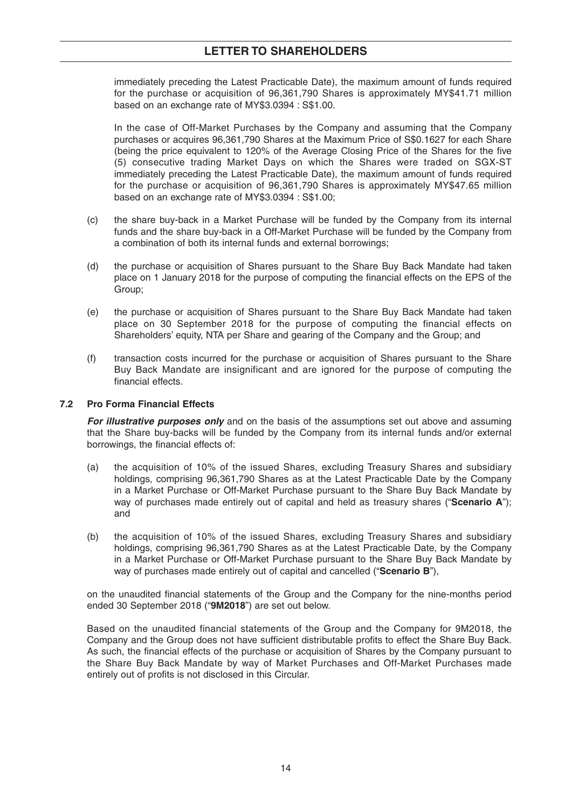## **LETTER TO SHAREHOLDERS**

immediately preceding the Latest Practicable Date), the maximum amount of funds required for the purchase or acquisition of 96,361,790 Shares is approximately MY\$41.71 million based on an exchange rate of MY\$3.0394 : S\$1.00.

In the case of Off-Market Purchases by the Company and assuming that the Company purchases or acquires 96,361,790 Shares at the Maximum Price of S\$0.1627 for each Share (being the price equivalent to 120% of the Average Closing Price of the Shares for the five (5) consecutive trading Market Days on which the Shares were traded on SGX-ST immediately preceding the Latest Practicable Date), the maximum amount of funds required for the purchase or acquisition of 96,361,790 Shares is approximately MY\$47.65 million based on an exchange rate of MY\$3.0394 : S\$1.00;

- (c) the share buy-back in a Market Purchase will be funded by the Company from its internal funds and the share buy-back in a Off-Market Purchase will be funded by the Company from a combination of both its internal funds and external borrowings;
- (d) the purchase or acquisition of Shares pursuant to the Share Buy Back Mandate had taken place on 1 January 2018 for the purpose of computing the financial effects on the EPS of the Group;
- (e) the purchase or acquisition of Shares pursuant to the Share Buy Back Mandate had taken place on 30 September 2018 for the purpose of computing the financial effects on Shareholders' equity, NTA per Share and gearing of the Company and the Group; and
- (f) transaction costs incurred for the purchase or acquisition of Shares pursuant to the Share Buy Back Mandate are insignificant and are ignored for the purpose of computing the financial effects.

## **7.2 Pro Forma Financial Effects**

**For illustrative purposes only** and on the basis of the assumptions set out above and assuming that the Share buy-backs will be funded by the Company from its internal funds and/or external borrowings, the financial effects of:

- (a) the acquisition of 10% of the issued Shares, excluding Treasury Shares and subsidiary holdings, comprising 96,361,790 Shares as at the Latest Practicable Date by the Company in a Market Purchase or Off-Market Purchase pursuant to the Share Buy Back Mandate by way of purchases made entirely out of capital and held as treasury shares ("**Scenario A**"); and
- (b) the acquisition of 10% of the issued Shares, excluding Treasury Shares and subsidiary holdings, comprising 96,361,790 Shares as at the Latest Practicable Date, by the Company in a Market Purchase or Off-Market Purchase pursuant to the Share Buy Back Mandate by way of purchases made entirely out of capital and cancelled ("**Scenario B**"),

on the unaudited financial statements of the Group and the Company for the nine-months period ended 30 September 2018 ("**9M2018**") are set out below.

Based on the unaudited financial statements of the Group and the Company for 9M2018, the Company and the Group does not have sufficient distributable profits to effect the Share Buy Back. As such, the financial effects of the purchase or acquisition of Shares by the Company pursuant to the Share Buy Back Mandate by way of Market Purchases and Off-Market Purchases made entirely out of profits is not disclosed in this Circular.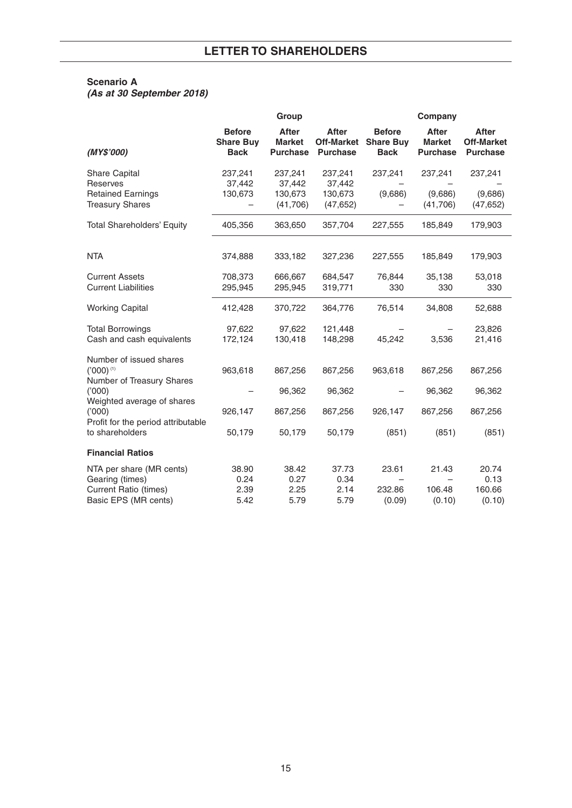## **Scenario A**

**(As at 30 September 2018)**

|                                                                                                     | Group                                            |                                                  |                                                      |                                                       | Company                                          |                                                      |  |
|-----------------------------------------------------------------------------------------------------|--------------------------------------------------|--------------------------------------------------|------------------------------------------------------|-------------------------------------------------------|--------------------------------------------------|------------------------------------------------------|--|
| (MY\$'000)                                                                                          | <b>Before</b><br><b>Share Buy</b><br><b>Back</b> | <b>After</b><br><b>Market</b><br><b>Purchase</b> | <b>After</b><br><b>Off-Market</b><br><b>Purchase</b> | <b>Before</b><br><b>Share Buy</b><br><b>Back</b>      | <b>After</b><br><b>Market</b><br><b>Purchase</b> | <b>After</b><br><b>Off-Market</b><br><b>Purchase</b> |  |
| <b>Share Capital</b><br>Reserves<br><b>Retained Earnings</b><br><b>Treasury Shares</b>              | 237,241<br>37,442<br>130,673                     | 237,241<br>37,442<br>130,673<br>(41,706)         | 237,241<br>37,442<br>130,673<br>(47, 652)            | 237,241<br>(9,686)                                    | 237,241<br>(9,686)<br>(41,706)                   | 237,241<br>(9,686)<br>(47, 652)                      |  |
| <b>Total Shareholders' Equity</b>                                                                   | 405,356                                          | 363,650                                          | 357,704                                              | 227,555                                               | 185,849                                          | 179,903                                              |  |
| <b>NTA</b>                                                                                          | 374,888                                          | 333,182                                          | 327,236                                              | 227,555                                               | 185,849                                          | 179,903                                              |  |
| <b>Current Assets</b><br><b>Current Liabilities</b>                                                 | 708,373<br>295,945                               | 666,667<br>295,945                               | 684,547<br>319,771                                   | 76,844<br>330                                         | 35,138<br>330                                    | 53,018<br>330                                        |  |
| <b>Working Capital</b>                                                                              | 412,428                                          | 370,722                                          | 364,776                                              | 76,514                                                | 34,808                                           | 52,688                                               |  |
| <b>Total Borrowings</b><br>Cash and cash equivalents                                                | 97,622<br>172,124                                | 97,622<br>130,418                                | 121,448<br>148,298                                   | 45,242                                                | 3,536                                            | 23,826<br>21,416                                     |  |
| Number of issued shares<br>$('000)$ <sup>(1)</sup><br>Number of Treasury Shares                     | 963,618                                          | 867,256                                          | 867,256                                              | 963,618                                               | 867,256                                          | 867,256                                              |  |
| (000)<br>Weighted average of shares<br>(000)<br>Profit for the period attributable                  | 926,147                                          | 96,362<br>867,256                                | 96,362<br>867,256                                    | 926,147                                               | 96,362<br>867,256                                | 96,362<br>867,256                                    |  |
| to shareholders                                                                                     | 50,179                                           | 50,179                                           | 50,179                                               | (851)                                                 | (851)                                            | (851)                                                |  |
| <b>Financial Ratios</b>                                                                             |                                                  |                                                  |                                                      |                                                       |                                                  |                                                      |  |
| NTA per share (MR cents)<br>Gearing (times)<br><b>Current Ratio (times)</b><br>Basic EPS (MR cents) | 38.90<br>0.24<br>2.39<br>5.42                    | 38.42<br>0.27<br>2.25<br>5.79                    | 37.73<br>0.34<br>2.14<br>5.79                        | 23.61<br>$\overline{\phantom{0}}$<br>232.86<br>(0.09) | 21.43<br>106.48<br>(0.10)                        | 20.74<br>0.13<br>160.66<br>(0.10)                    |  |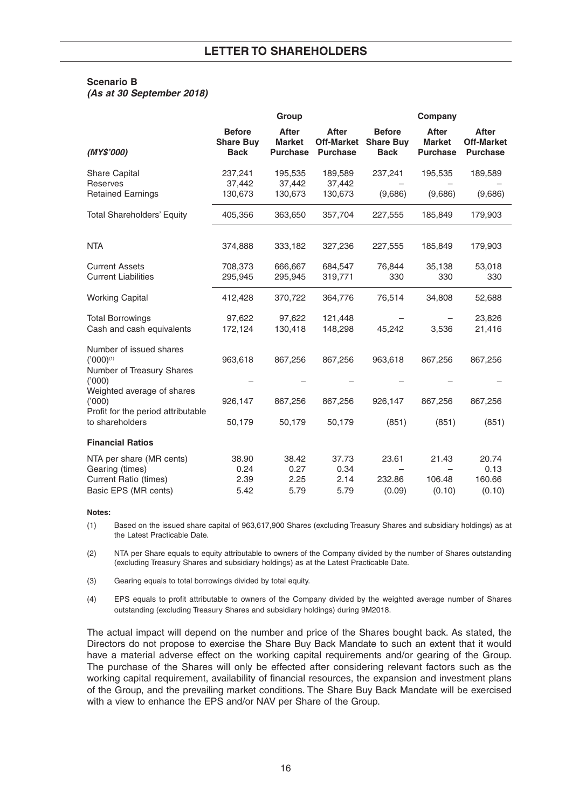## **Scenario B**

**(As at 30 September 2018)**

|                                                                                              |                                                  | Group                                            |                                                      |                                                  | Company                                          |                                                      |
|----------------------------------------------------------------------------------------------|--------------------------------------------------|--------------------------------------------------|------------------------------------------------------|--------------------------------------------------|--------------------------------------------------|------------------------------------------------------|
| (MY\$'000)                                                                                   | <b>Before</b><br><b>Share Buy</b><br><b>Back</b> | <b>After</b><br><b>Market</b><br><b>Purchase</b> | <b>After</b><br><b>Off-Market</b><br><b>Purchase</b> | <b>Before</b><br><b>Share Buy</b><br><b>Back</b> | <b>After</b><br><b>Market</b><br><b>Purchase</b> | <b>After</b><br><b>Off-Market</b><br><b>Purchase</b> |
| <b>Share Capital</b><br>Reserves                                                             | 237,241<br>37,442                                | 195,535<br>37,442                                | 189,589<br>37,442                                    | 237,241                                          | 195,535                                          | 189,589                                              |
| <b>Retained Earnings</b>                                                                     | 130,673                                          | 130,673                                          | 130,673                                              | (9,686)                                          | (9,686)                                          | (9,686)                                              |
| <b>Total Shareholders' Equity</b>                                                            | 405,356                                          | 363,650                                          | 357,704                                              | 227,555                                          | 185,849                                          | 179,903                                              |
| <b>NTA</b>                                                                                   | 374,888                                          | 333,182                                          | 327,236                                              | 227,555                                          | 185,849                                          | 179,903                                              |
| <b>Current Assets</b><br><b>Current Liabilities</b>                                          | 708,373<br>295,945                               | 666,667<br>295,945                               | 684,547<br>319,771                                   | 76,844<br>330                                    | 35,138<br>330                                    | 53,018<br>330                                        |
| <b>Working Capital</b>                                                                       | 412,428                                          | 370,722                                          | 364,776                                              | 76,514                                           | 34,808                                           | 52,688                                               |
| <b>Total Borrowings</b><br>Cash and cash equivalents                                         | 97,622<br>172,124                                | 97,622<br>130,418                                | 121,448<br>148,298                                   | 45,242                                           | 3,536                                            | 23,826<br>21,416                                     |
| Number of issued shares<br>$('000)$ <sup>(1)</sup><br>Number of Treasury Shares              | 963,618                                          | 867,256                                          | 867,256                                              | 963,618                                          | 867,256                                          | 867,256                                              |
| (1000)<br>Weighted average of shares<br>(000)<br>Profit for the period attributable          | 926,147                                          | 867,256                                          | 867,256                                              | 926,147                                          | 867,256                                          | 867,256                                              |
| to shareholders                                                                              | 50,179                                           | 50,179                                           | 50,179                                               | (851)                                            | (851)                                            | (851)                                                |
| <b>Financial Ratios</b>                                                                      |                                                  |                                                  |                                                      |                                                  |                                                  |                                                      |
| NTA per share (MR cents)<br>Gearing (times)<br>Current Ratio (times)<br>Basic EPS (MR cents) | 38.90<br>0.24<br>2.39<br>5.42                    | 38.42<br>0.27<br>2.25<br>5.79                    | 37.73<br>0.34<br>2.14<br>5.79                        | 23.61<br>232.86<br>(0.09)                        | 21.43<br>106.48<br>(0.10)                        | 20.74<br>0.13<br>160.66<br>(0.10)                    |

#### **Notes:**

(1) Based on the issued share capital of 963,617,900 Shares (excluding Treasury Shares and subsidiary holdings) as at the Latest Practicable Date.

(2) NTA per Share equals to equity attributable to owners of the Company divided by the number of Shares outstanding (excluding Treasury Shares and subsidiary holdings) as at the Latest Practicable Date.

(3) Gearing equals to total borrowings divided by total equity.

(4) EPS equals to profit attributable to owners of the Company divided by the weighted average number of Shares outstanding (excluding Treasury Shares and subsidiary holdings) during 9M2018.

The actual impact will depend on the number and price of the Shares bought back. As stated, the Directors do not propose to exercise the Share Buy Back Mandate to such an extent that it would have a material adverse effect on the working capital requirements and/or gearing of the Group. The purchase of the Shares will only be effected after considering relevant factors such as the working capital requirement, availability of financial resources, the expansion and investment plans of the Group, and the prevailing market conditions. The Share Buy Back Mandate will be exercised with a view to enhance the EPS and/or NAV per Share of the Group.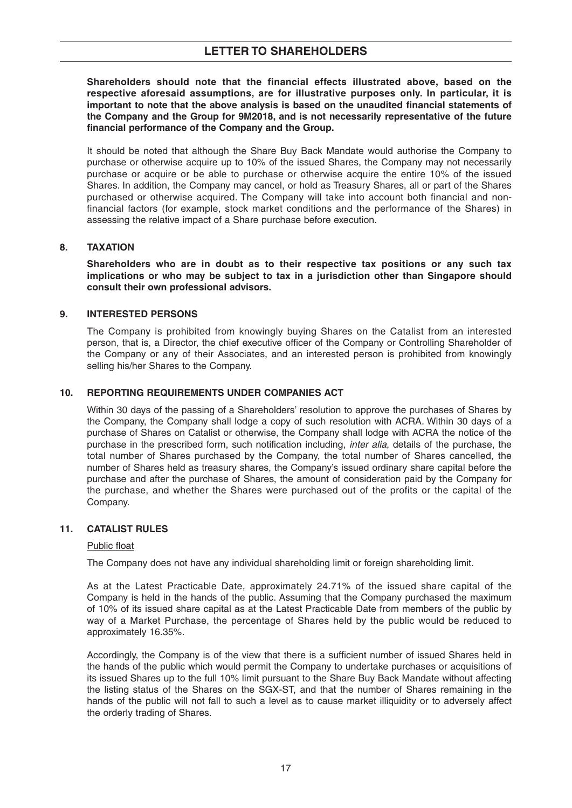**Shareholders should note that the financial effects illustrated above, based on the respective aforesaid assumptions, are for illustrative purposes only. In particular, it is important to note that the above analysis is based on the unaudited financial statements of the Company and the Group for 9M2018, and is not necessarily representative of the future financial performance of the Company and the Group.**

It should be noted that although the Share Buy Back Mandate would authorise the Company to purchase or otherwise acquire up to 10% of the issued Shares, the Company may not necessarily purchase or acquire or be able to purchase or otherwise acquire the entire 10% of the issued Shares. In addition, the Company may cancel, or hold as Treasury Shares, all or part of the Shares purchased or otherwise acquired. The Company will take into account both financial and nonfinancial factors (for example, stock market conditions and the performance of the Shares) in assessing the relative impact of a Share purchase before execution.

## **8. TAXATION**

**Shareholders who are in doubt as to their respective tax positions or any such tax implications or who may be subject to tax in a jurisdiction other than Singapore should consult their own professional advisors.**

## **9. INTERESTED PERSONS**

The Company is prohibited from knowingly buying Shares on the Catalist from an interested person, that is, a Director, the chief executive officer of the Company or Controlling Shareholder of the Company or any of their Associates, and an interested person is prohibited from knowingly selling his/her Shares to the Company.

## **10. REPORTING REQUIREMENTS UNDER COMPANIES ACT**

Within 30 days of the passing of a Shareholders' resolution to approve the purchases of Shares by the Company, the Company shall lodge a copy of such resolution with ACRA. Within 30 days of a purchase of Shares on Catalist or otherwise, the Company shall lodge with ACRA the notice of the purchase in the prescribed form, such notification including, *inter alia*, details of the purchase, the total number of Shares purchased by the Company, the total number of Shares cancelled, the number of Shares held as treasury shares, the Company's issued ordinary share capital before the purchase and after the purchase of Shares, the amount of consideration paid by the Company for the purchase, and whether the Shares were purchased out of the profits or the capital of the Company.

## **11. CATALIST RULES**

## Public float

The Company does not have any individual shareholding limit or foreign shareholding limit.

As at the Latest Practicable Date, approximately 24.71% of the issued share capital of the Company is held in the hands of the public. Assuming that the Company purchased the maximum of 10% of its issued share capital as at the Latest Practicable Date from members of the public by way of a Market Purchase, the percentage of Shares held by the public would be reduced to approximately 16.35%.

Accordingly, the Company is of the view that there is a sufficient number of issued Shares held in the hands of the public which would permit the Company to undertake purchases or acquisitions of its issued Shares up to the full 10% limit pursuant to the Share Buy Back Mandate without affecting the listing status of the Shares on the SGX-ST, and that the number of Shares remaining in the hands of the public will not fall to such a level as to cause market illiquidity or to adversely affect the orderly trading of Shares.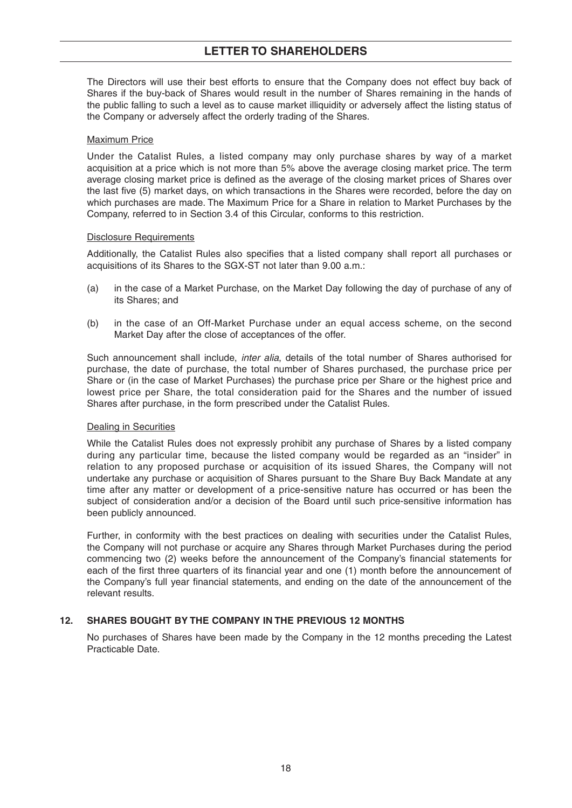## **LETTER TO SHAREHOLDERS**

The Directors will use their best efforts to ensure that the Company does not effect buy back of Shares if the buy-back of Shares would result in the number of Shares remaining in the hands of the public falling to such a level as to cause market illiquidity or adversely affect the listing status of the Company or adversely affect the orderly trading of the Shares.

#### Maximum Price

Under the Catalist Rules, a listed company may only purchase shares by way of a market acquisition at a price which is not more than 5% above the average closing market price. The term average closing market price is defined as the average of the closing market prices of Shares over the last five (5) market days, on which transactions in the Shares were recorded, before the day on which purchases are made. The Maximum Price for a Share in relation to Market Purchases by the Company, referred to in Section 3.4 of this Circular, conforms to this restriction.

#### Disclosure Requirements

Additionally, the Catalist Rules also specifies that a listed company shall report all purchases or acquisitions of its Shares to the SGX-ST not later than 9.00 a.m.:

- (a) in the case of a Market Purchase, on the Market Day following the day of purchase of any of its Shares; and
- (b) in the case of an Off-Market Purchase under an equal access scheme, on the second Market Day after the close of acceptances of the offer.

Such announcement shall include, inter alia, details of the total number of Shares authorised for purchase, the date of purchase, the total number of Shares purchased, the purchase price per Share or (in the case of Market Purchases) the purchase price per Share or the highest price and lowest price per Share, the total consideration paid for the Shares and the number of issued Shares after purchase, in the form prescribed under the Catalist Rules.

#### Dealing in Securities

While the Catalist Rules does not expressly prohibit any purchase of Shares by a listed company during any particular time, because the listed company would be regarded as an "insider" in relation to any proposed purchase or acquisition of its issued Shares, the Company will not undertake any purchase or acquisition of Shares pursuant to the Share Buy Back Mandate at any time after any matter or development of a price-sensitive nature has occurred or has been the subject of consideration and/or a decision of the Board until such price-sensitive information has been publicly announced.

Further, in conformity with the best practices on dealing with securities under the Catalist Rules, the Company will not purchase or acquire any Shares through Market Purchases during the period commencing two (2) weeks before the announcement of the Company's financial statements for each of the first three quarters of its financial year and one (1) month before the announcement of the Company's full year financial statements, and ending on the date of the announcement of the relevant results.

## **12. SHARES BOUGHT BY THE COMPANY IN THE PREVIOUS 12 MONTHS**

No purchases of Shares have been made by the Company in the 12 months preceding the Latest Practicable Date.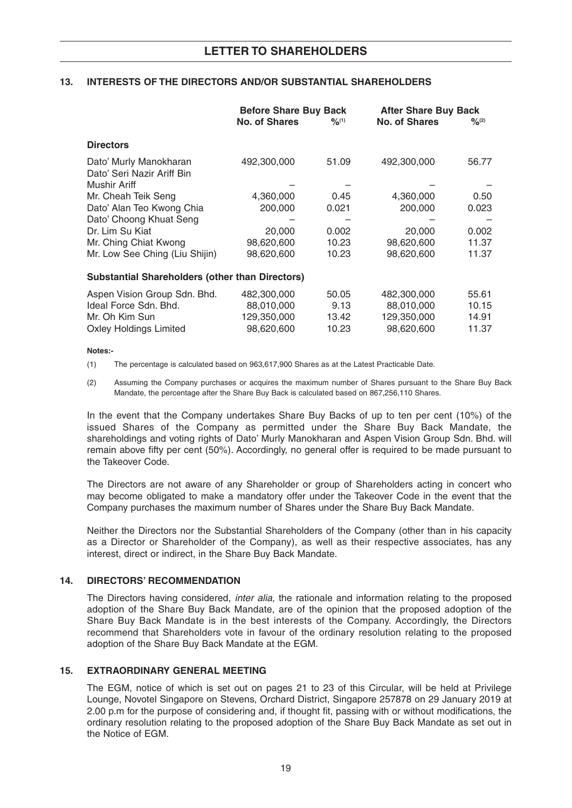## **13. INTERESTS OF THE DIRECTORS AND/OR SUBSTANTIAL SHAREHOLDERS**

|                                                        | <b>Before Share Buy Back</b> |             | <b>After Share Buy Back</b> |                              |  |
|--------------------------------------------------------|------------------------------|-------------|-----------------------------|------------------------------|--|
|                                                        | <b>No. of Shares</b>         | $9/2^{(1)}$ | <b>No. of Shares</b>        | $\frac{9}{6}$ <sup>(2)</sup> |  |
| <b>Directors</b>                                       |                              |             |                             |                              |  |
| Dato' Murly Manokharan<br>Dato' Seri Nazir Ariff Bin   | 492,300,000                  | 51.09       | 492,300,000                 | 56.77                        |  |
| Mushir Ariff                                           |                              |             |                             |                              |  |
| Mr. Cheah Teik Seng                                    | 4,360,000                    | 0.45        | 4,360,000                   | 0.50                         |  |
| Dato' Alan Teo Kwong Chia                              | 200,000                      | 0.021       | 200,000                     | 0.023                        |  |
| Dato' Choong Khuat Seng                                |                              |             |                             |                              |  |
| Dr. Lim Su Kiat                                        | 20,000                       | 0.002       | 20,000                      | 0.002                        |  |
| Mr. Ching Chiat Kwong                                  | 98,620,600                   | 10.23       | 98,620,600                  | 11.37                        |  |
| Mr. Low See Ching (Liu Shijin)                         | 98,620,600                   | 10.23       | 98,620,600                  | 11.37                        |  |
| <b>Substantial Shareholders (other than Directors)</b> |                              |             |                             |                              |  |
| Aspen Vision Group Sdn. Bhd.                           | 482,300,000                  | 50.05       | 482,300,000                 | 55.61                        |  |
| Ideal Force Sdn. Bhd.                                  | 88,010,000                   | 9.13        | 88,010,000                  | 10.15                        |  |
| Mr. Oh Kim Sun                                         | 129,350,000                  | 13.42       | 129,350,000                 | 14.91                        |  |
| <b>Oxley Holdings Limited</b>                          | 98.620.600                   | 10.23       | 98,620,600                  | 11.37                        |  |

#### **Notes:-**

(1) The percentage is calculated based on 963,617,900 Shares as at the Latest Practicable Date.

(2) Assuming the Company purchases or acquires the maximum number of Shares pursuant to the Share Buy Back Mandate, the percentage after the Share Buy Back is calculated based on 867,256,110 Shares.

In the event that the Company undertakes Share Buy Backs of up to ten per cent (10%) of the issued Shares of the Company as permitted under the Share Buy Back Mandate, the shareholdings and voting rights of Dato' Murly Manokharan and Aspen Vision Group Sdn. Bhd. will remain above fifty per cent (50%). Accordingly, no general offer is required to be made pursuant to the Takeover Code.

The Directors are not aware of any Shareholder or group of Shareholders acting in concert who may become obligated to make a mandatory offer under the Takeover Code in the event that the Company purchases the maximum number of Shares under the Share Buy Back Mandate.

Neither the Directors nor the Substantial Shareholders of the Company (other than in his capacity as a Director or Shareholder of the Company), as well as their respective associates, has any interest, direct or indirect, in the Share Buy Back Mandate.

## **14. DIRECTORS' RECOMMENDATION**

The Directors having considered, *inter alia*, the rationale and information relating to the proposed adoption of the Share Buy Back Mandate, are of the opinion that the proposed adoption of the Share Buy Back Mandate is in the best interests of the Company. Accordingly, the Directors recommend that Shareholders vote in favour of the ordinary resolution relating to the proposed adoption of the Share Buy Back Mandate at the EGM.

## **15. EXTRAORDINARY GENERAL MEETING**

The EGM, notice of which is set out on pages 21 to 23 of this Circular, will be held at Privilege Lounge, Novotel Singapore on Stevens, Orchard District, Singapore 257878 on 29 January 2019 at 2.00 p.m for the purpose of considering and, if thought fit, passing with or without modifications, the ordinary resolution relating to the proposed adoption of the Share Buy Back Mandate as set out in the Notice of EGM.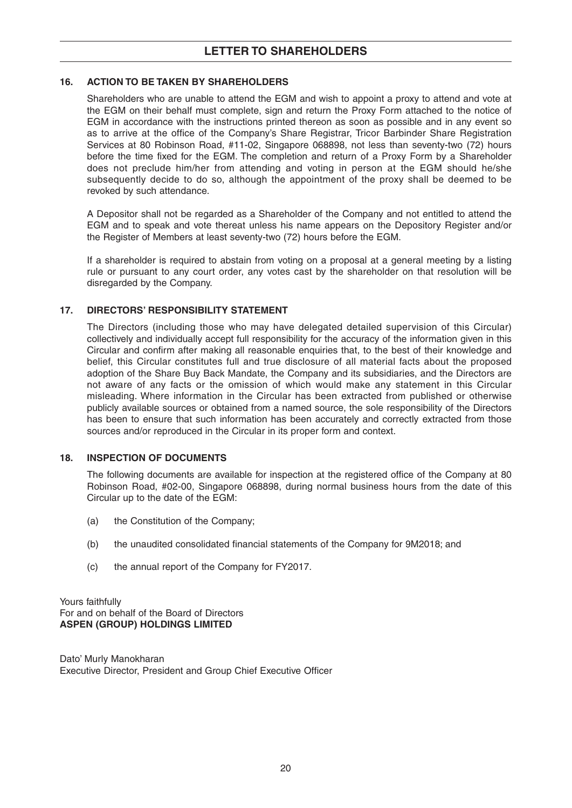## **16. ACTION TO BE TAKEN BY SHAREHOLDERS**

Shareholders who are unable to attend the EGM and wish to appoint a proxy to attend and vote at the EGM on their behalf must complete, sign and return the Proxy Form attached to the notice of EGM in accordance with the instructions printed thereon as soon as possible and in any event so as to arrive at the office of the Company's Share Registrar, Tricor Barbinder Share Registration Services at 80 Robinson Road, #11-02, Singapore 068898, not less than seventy-two (72) hours before the time fixed for the EGM. The completion and return of a Proxy Form by a Shareholder does not preclude him/her from attending and voting in person at the EGM should he/she subsequently decide to do so, although the appointment of the proxy shall be deemed to be revoked by such attendance.

A Depositor shall not be regarded as a Shareholder of the Company and not entitled to attend the EGM and to speak and vote thereat unless his name appears on the Depository Register and/or the Register of Members at least seventy-two (72) hours before the EGM.

If a shareholder is required to abstain from voting on a proposal at a general meeting by a listing rule or pursuant to any court order, any votes cast by the shareholder on that resolution will be disregarded by the Company.

## **17. DIRECTORS' RESPONSIBILITY STATEMENT**

The Directors (including those who may have delegated detailed supervision of this Circular) collectively and individually accept full responsibility for the accuracy of the information given in this Circular and confirm after making all reasonable enquiries that, to the best of their knowledge and belief, this Circular constitutes full and true disclosure of all material facts about the proposed adoption of the Share Buy Back Mandate, the Company and its subsidiaries, and the Directors are not aware of any facts or the omission of which would make any statement in this Circular misleading. Where information in the Circular has been extracted from published or otherwise publicly available sources or obtained from a named source, the sole responsibility of the Directors has been to ensure that such information has been accurately and correctly extracted from those sources and/or reproduced in the Circular in its proper form and context.

## **18. INSPECTION OF DOCUMENTS**

The following documents are available for inspection at the registered office of the Company at 80 Robinson Road, #02-00, Singapore 068898, during normal business hours from the date of this Circular up to the date of the EGM:

- (a) the Constitution of the Company;
- (b) the unaudited consolidated financial statements of the Company for 9M2018; and
- (c) the annual report of the Company for FY2017.

Yours faithfully For and on behalf of the Board of Directors **ASPEN (GROUP) HOLDINGS LIMITED**

Dato' Murly Manokharan Executive Director, President and Group Chief Executive Officer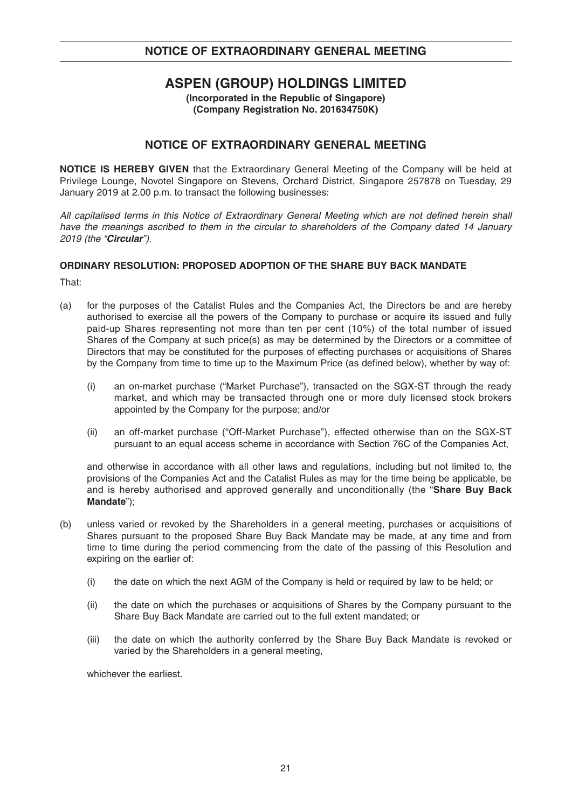# **ASPEN (GROUP) HOLDINGS LIMITED**

**(Incorporated in the Republic of Singapore) (Company Registration No. 201634750K)** 

## **NOTICE OF EXTRAORDINARY GENERAL MEETING**

**NOTICE IS HEREBY GIVEN** that the Extraordinary General Meeting of the Company will be held at Privilege Lounge, Novotel Singapore on Stevens, Orchard District, Singapore 257878 on Tuesday, 29 January 2019 at 2.00 p.m. to transact the following businesses:

All capitalised terms in this Notice of Extraordinary General Meeting which are not defined herein shall have the meanings ascribed to them in the circular to shareholders of the Company dated 14 January 2019 (the "**Circular**").

## **ORDINARY RESOLUTION: PROPOSED ADOPTION OF THE SHARE BUY BACK MANDATE**

That:

- (a) for the purposes of the Catalist Rules and the Companies Act, the Directors be and are hereby authorised to exercise all the powers of the Company to purchase or acquire its issued and fully paid-up Shares representing not more than ten per cent (10%) of the total number of issued Shares of the Company at such price(s) as may be determined by the Directors or a committee of Directors that may be constituted for the purposes of effecting purchases or acquisitions of Shares by the Company from time to time up to the Maximum Price (as defined below), whether by way of:
	- (i) an on-market purchase ("Market Purchase"), transacted on the SGX-ST through the ready market, and which may be transacted through one or more duly licensed stock brokers appointed by the Company for the purpose; and/or
	- (ii) an off-market purchase ("Off-Market Purchase"), effected otherwise than on the SGX-ST pursuant to an equal access scheme in accordance with Section 76C of the Companies Act,

and otherwise in accordance with all other laws and regulations, including but not limited to, the provisions of the Companies Act and the Catalist Rules as may for the time being be applicable, be and is hereby authorised and approved generally and unconditionally (the "**Share Buy Back Mandate**");

- (b) unless varied or revoked by the Shareholders in a general meeting, purchases or acquisitions of Shares pursuant to the proposed Share Buy Back Mandate may be made, at any time and from time to time during the period commencing from the date of the passing of this Resolution and expiring on the earlier of:
	- (i) the date on which the next AGM of the Company is held or required by law to be held; or
	- (ii) the date on which the purchases or acquisitions of Shares by the Company pursuant to the Share Buy Back Mandate are carried out to the full extent mandated; or
	- (iii) the date on which the authority conferred by the Share Buy Back Mandate is revoked or varied by the Shareholders in a general meeting,

whichever the earliest.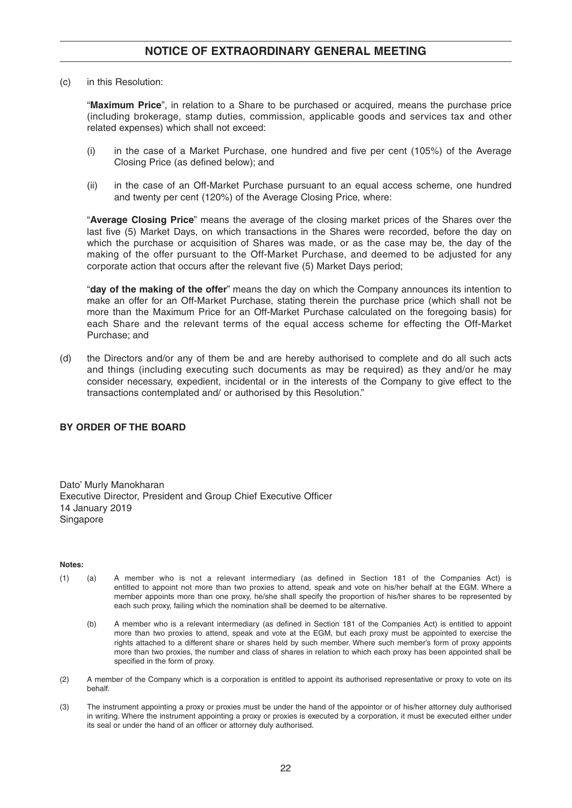## **NOTICE OF EXTRAORDINARY GENERAL MEETING**

(c) in this Resolution:

"**Maximum Price**", in relation to a Share to be purchased or acquired, means the purchase price (including brokerage, stamp duties, commission, applicable goods and services tax and other related expenses) which shall not exceed:

- (i) in the case of a Market Purchase, one hundred and five per cent (105%) of the Average Closing Price (as defined below); and
- (ii) in the case of an Off-Market Purchase pursuant to an equal access scheme, one hundred and twenty per cent (120%) of the Average Closing Price, where:

"**Average Closing Price**" means the average of the closing market prices of the Shares over the last five (5) Market Days, on which transactions in the Shares were recorded, before the day on which the purchase or acquisition of Shares was made, or as the case may be, the day of the making of the offer pursuant to the Off-Market Purchase, and deemed to be adjusted for any corporate action that occurs after the relevant five (5) Market Days period;

"**day of the making of the offer**" means the day on which the Company announces its intention to make an offer for an Off-Market Purchase, stating therein the purchase price (which shall not be more than the Maximum Price for an Off-Market Purchase calculated on the foregoing basis) for each Share and the relevant terms of the equal access scheme for effecting the Off-Market Purchase; and

(d) the Directors and/or any of them be and are hereby authorised to complete and do all such acts and things (including executing such documents as may be required) as they and/or he may consider necessary, expedient, incidental or in the interests of the Company to give effect to the transactions contemplated and/ or authorised by this Resolution."

### **BY ORDER OF THE BOARD**

Dato' Murly Manokharan Executive Director, President and Group Chief Executive Officer 14 January 2019 Singapore

#### **Notes:**

- (1) (a) A member who is not a relevant intermediary (as defined in Section 181 of the Companies Act) is entitled to appoint not more than two proxies to attend, speak and vote on his/her behalf at the EGM. Where a member appoints more than one proxy, he/she shall specify the proportion of his/her shares to be represented by each such proxy, failing which the nomination shall be deemed to be alternative.
	- (b) A member who is a relevant intermediary (as defined in Section 181 of the Companies Act) is entitled to appoint more than two proxies to attend, speak and vote at the EGM, but each proxy must be appointed to exercise the rights attached to a different share or shares held by such member. Where such member's form of proxy appoints more than two proxies, the number and class of shares in relation to which each proxy has been appointed shall be specified in the form of proxy.
- (2) A member of the Company which is a corporation is entitled to appoint its authorised representative or proxy to vote on its behalf.
- (3) The instrument appointing a proxy or proxies must be under the hand of the appointor or of his/her attorney duly authorised in writing. Where the instrument appointing a proxy or proxies is executed by a corporation, it must be executed either under its seal or under the hand of an officer or attorney duly authorised.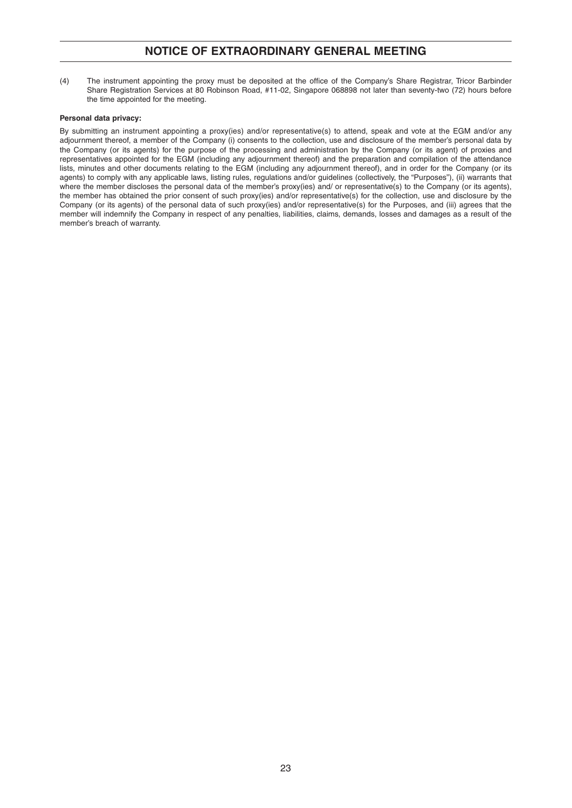## **NOTICE OF EXTRAORDINARY GENERAL MEETING**

(4) The instrument appointing the proxy must be deposited at the office of the Company's Share Registrar, Tricor Barbinder Share Registration Services at 80 Robinson Road, #11-02, Singapore 068898 not later than seventy-two (72) hours before the time appointed for the meeting.

#### **Personal data privacy:**

By submitting an instrument appointing a proxy(ies) and/or representative(s) to attend, speak and vote at the EGM and/or any adjournment thereof, a member of the Company (i) consents to the collection, use and disclosure of the member's personal data by the Company (or its agents) for the purpose of the processing and administration by the Company (or its agent) of proxies and representatives appointed for the EGM (including any adjournment thereof) and the preparation and compilation of the attendance lists, minutes and other documents relating to the EGM (including any adjournment thereof), and in order for the Company (or its agents) to comply with any applicable laws, listing rules, regulations and/or guidelines (collectively, the "Purposes"), (ii) warrants that where the member discloses the personal data of the member's proxy(ies) and/ or representative(s) to the Company (or its agents), the member has obtained the prior consent of such proxy(ies) and/or representative(s) for the collection, use and disclosure by the Company (or its agents) of the personal data of such proxy(ies) and/or representative(s) for the Purposes, and (iii) agrees that the member will indemnify the Company in respect of any penalties, liabilities, claims, demands, losses and damages as a result of the member's breach of warranty.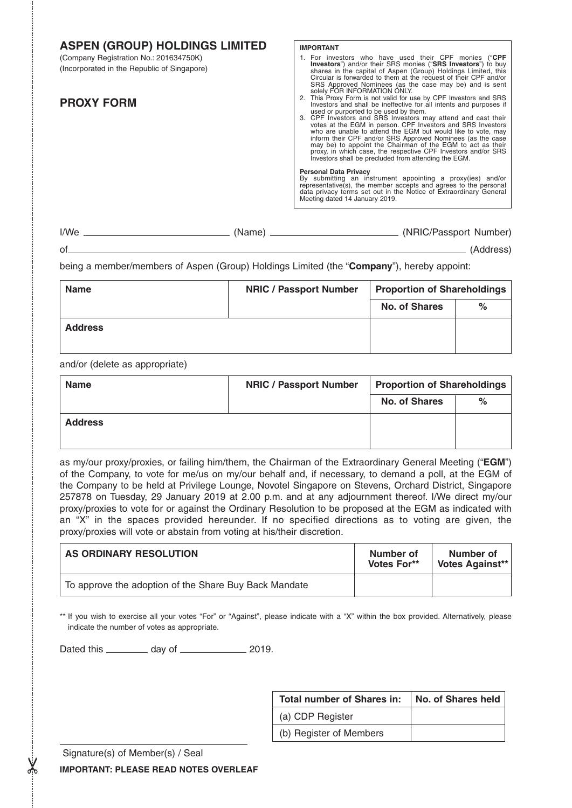| <b>ASPEN (GROUP) HOLDINGS LIMITED</b>                                                 | <b>IMPORTANT</b>                                                                                                                                                                                                                                                                                                                                                                                                                                                                                                                                                                                                                    |
|---------------------------------------------------------------------------------------|-------------------------------------------------------------------------------------------------------------------------------------------------------------------------------------------------------------------------------------------------------------------------------------------------------------------------------------------------------------------------------------------------------------------------------------------------------------------------------------------------------------------------------------------------------------------------------------------------------------------------------------|
| (Company Registration No.: 201634750K)<br>(Incorporated in the Republic of Singapore) | 1. For investors who have used their CPF monies ("CPF<br>Investors") and/or their SRS monies ("SRS Investors") to buy<br>shares in the capital of Aspen (Group) Holdings Limited, this<br>Circular is forwarded to them at the request of their CPF and/or<br>SRS Approved Nominees (as the case may be) and is sent<br>solely FOR INFORMATION ONLY.                                                                                                                                                                                                                                                                                |
| <b>PROXY FORM</b>                                                                     | 2. This Proxy Form is not valid for use by CPF Investors and SRS<br>Investors and shall be ineffective for all intents and purposes if<br>used or purported to be used by them.<br>3. CPF Investors and SRS Investors may attend and cast their<br>votes at the EGM in person. CPF Investors and SRS Investors<br>who are unable to attend the EGM but would like to vote, may<br>inform their CPF and/or SRS Approved Nominees (as the case<br>may be) to appoint the Chairman of the EGM to act as their<br>proxy, in which case, the respective CPF Investors and/or SRS<br>Investors shall be precluded from attending the EGM. |
|                                                                                       | <b>Personal Data Privacy</b><br>By submitting an instrument appointing a proxy(ies) and/or<br>representative(s), the member accepts and agrees to the personal<br>data privacy terms set out in the Notice of Extraordinary General<br>Meeting dated 14 January 2019.                                                                                                                                                                                                                                                                                                                                                               |
| (Name)                                                                                | (NRIC/Passport Number) (1998)                                                                                                                                                                                                                                                                                                                                                                                                                                                                                                                                                                                                       |

of (Address)

being a member/members of Aspen (Group) Holdings Limited (the "**Company**"), hereby appoint:

| <b>Name</b>    | <b>NRIC / Passport Number</b> | <b>Proportion of Shareholdings</b> |      |
|----------------|-------------------------------|------------------------------------|------|
|                |                               | <b>No. of Shares</b>               | $\%$ |
| <b>Address</b> |                               |                                    |      |

and/or (delete as appropriate)

| <b>Name</b>    | <b>NRIC / Passport Number</b> | <b>Proportion of Shareholdings</b> |      |
|----------------|-------------------------------|------------------------------------|------|
|                |                               | <b>No. of Shares</b>               | $\%$ |
| <b>Address</b> |                               |                                    |      |

as my/our proxy/proxies, or failing him/them, the Chairman of the Extraordinary General Meeting ("**EGM**") of the Company, to vote for me/us on my/our behalf and, if necessary, to demand a poll, at the EGM of the Company to be held at Privilege Lounge, Novotel Singapore on Stevens, Orchard District, Singapore 257878 on Tuesday, 29 January 2019 at 2.00 p.m. and at any adjournment thereof. I/We direct my/our proxy/proxies to vote for or against the Ordinary Resolution to be proposed at the EGM as indicated with an "X" in the spaces provided hereunder. If no specified directions as to voting are given, the proxy/proxies will vote or abstain from voting at his/their discretion.

| AS ORDINARY RESOLUTION                                | Number of<br>Votes For** | Number of<br>Votes Against** |
|-------------------------------------------------------|--------------------------|------------------------------|
| To approve the adoption of the Share Buy Back Mandate |                          |                              |

\*\* If you wish to exercise all your votes "For" or "Against", please indicate with a "X" within the box provided. Alternatively, please indicate the number of votes as appropriate.

Dated this \_\_\_\_\_\_\_\_\_\_ day of \_\_\_\_\_\_\_\_\_\_\_\_\_\_\_ 2019.

| <b>Total number of Shares in:</b> | <b>No. of Shares held</b> |
|-----------------------------------|---------------------------|
| (a) CDP Register                  |                           |
| (b) Register of Members           |                           |

Signature(s) of Member(s) / Seal

**IMPORTANT: PLEASE READ NOTES OVERLEAF**